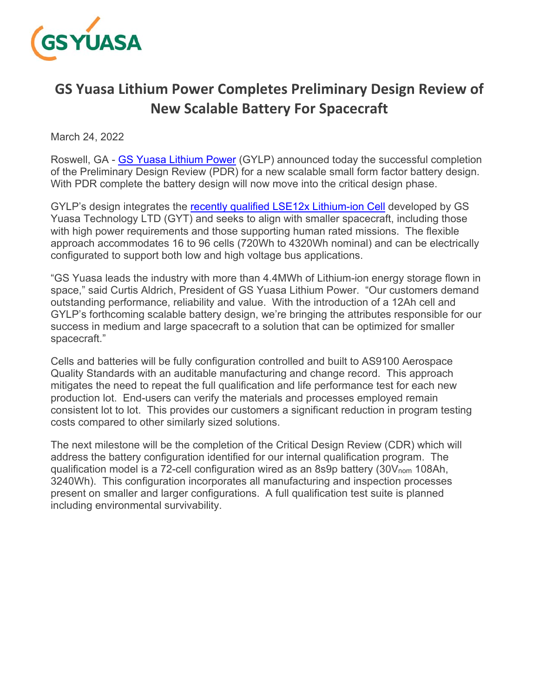

# **GS Yuasa Lithium Power Completes Preliminary Design Review of New Scalable Battery For Spacecraft**

March 24, 2022

Roswell, GA - GS Yuasa Lithium Power (GYLP) announced today the successful completion of the Preliminary Design Review (PDR) for a new scalable small form factor battery design. With PDR complete the battery design will now move into the critical design phase.

GYLP's design integrates the recently qualified LSE12x Lithium-ion Cell developed by GS Yuasa Technology LTD (GYT) and seeks to align with smaller spacecraft, including those with high power requirements and those supporting human rated missions. The flexible approach accommodates 16 to 96 cells (720Wh to 4320Wh nominal) and can be electrically configurated to support both low and high voltage bus applications.

"GS Yuasa leads the industry with more than 4.4MWh of Lithium-ion energy storage flown in space," said Curtis Aldrich, President of GS Yuasa Lithium Power. "Our customers demand outstanding performance, reliability and value. With the introduction of a 12Ah cell and GYLP's forthcoming scalable battery design, we're bringing the attributes responsible for our success in medium and large spacecraft to a solution that can be optimized for smaller spacecraft."

Cells and batteries will be fully configuration controlled and built to AS9100 Aerospace Quality Standards with an auditable manufacturing and change record. This approach mitigates the need to repeat the full qualification and life performance test for each new production lot. End-users can verify the materials and processes employed remain consistent lot to lot. This provides our customers a significant reduction in program testing costs compared to other similarly sized solutions.

The next milestone will be the completion of the Critical Design Review (CDR) which will address the battery configuration identified for our internal qualification program. The qualification model is a 72-cell configuration wired as an 8s9p battery (30Vnom 108Ah, 3240Wh). This configuration incorporates all manufacturing and inspection processes present on smaller and larger configurations. A full qualification test suite is planned including environmental survivability.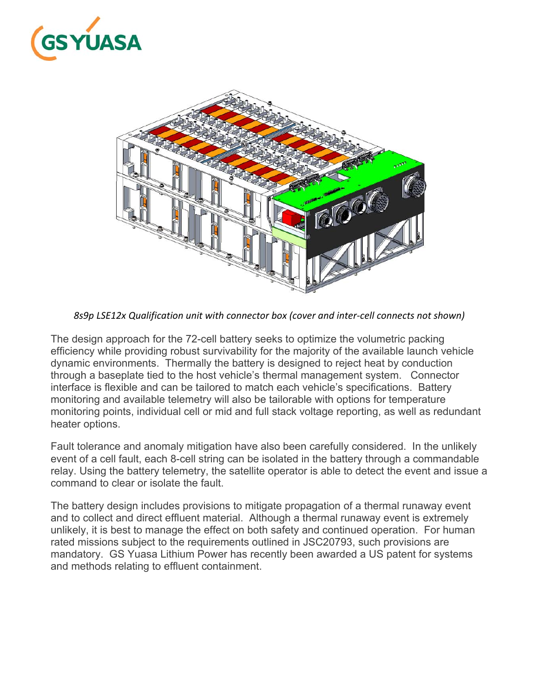



*8s9p LSE12x Qualification unit with connector box (cover and inter‐cell connects not shown)* 

The design approach for the 72-cell battery seeks to optimize the volumetric packing efficiency while providing robust survivability for the majority of the available launch vehicle dynamic environments. Thermally the battery is designed to reject heat by conduction through a baseplate tied to the host vehicle's thermal management system. Connector interface is flexible and can be tailored to match each vehicle's specifications. Battery monitoring and available telemetry will also be tailorable with options for temperature monitoring points, individual cell or mid and full stack voltage reporting, as well as redundant heater options.

Fault tolerance and anomaly mitigation have also been carefully considered. In the unlikely event of a cell fault, each 8-cell string can be isolated in the battery through a commandable relay. Using the battery telemetry, the satellite operator is able to detect the event and issue a command to clear or isolate the fault.

The battery design includes provisions to mitigate propagation of a thermal runaway event and to collect and direct effluent material. Although a thermal runaway event is extremely unlikely, it is best to manage the effect on both safety and continued operation. For human rated missions subject to the requirements outlined in JSC20793, such provisions are mandatory. GS Yuasa Lithium Power has recently been awarded a US patent for systems and methods relating to effluent containment.